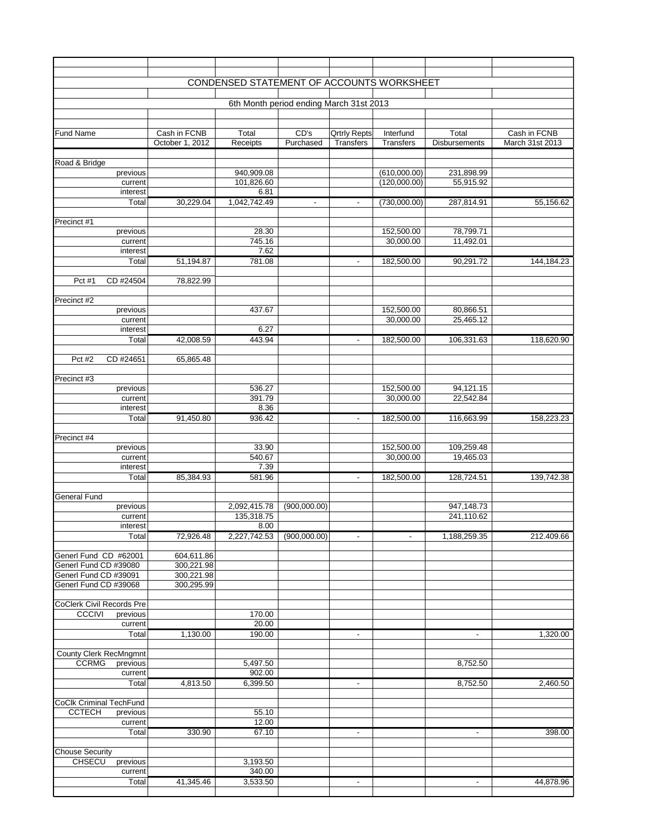|                                                |                                 | CONDENSED STATEMENT OF ACCOUNTS WORKSHEET |                                         |                                         |                               |                               |                                 |
|------------------------------------------------|---------------------------------|-------------------------------------------|-----------------------------------------|-----------------------------------------|-------------------------------|-------------------------------|---------------------------------|
|                                                |                                 |                                           | 6th Month period ending March 31st 2013 |                                         |                               |                               |                                 |
|                                                |                                 |                                           |                                         |                                         |                               |                               |                                 |
|                                                |                                 |                                           |                                         |                                         |                               |                               |                                 |
| <b>Fund Name</b>                               | Cash in FCNB<br>October 1, 2012 | Total<br>Receipts                         | CD's<br>Purchased                       | <b>Qrtrly Repts</b><br><b>Transfers</b> | Interfund<br><b>Transfers</b> | Total<br><b>Disbursements</b> | Cash in FCNB<br>March 31st 2013 |
|                                                |                                 |                                           |                                         |                                         |                               |                               |                                 |
| Road & Bridge                                  |                                 |                                           |                                         |                                         |                               |                               |                                 |
| previous                                       |                                 | 940,909.08                                |                                         |                                         | (610,000.00)                  | 231,898.99                    |                                 |
| current                                        |                                 | 101,826.60<br>6.81                        |                                         |                                         | (120,000.00)                  | 55,915.92                     |                                 |
| interest<br>Total                              | 30,229.04                       | 1,042,742.49                              | $\overline{\phantom{a}}$                | $\blacksquare$                          | (730,000.00)                  | 287,814.91                    | 55,156.62                       |
|                                                |                                 |                                           |                                         |                                         |                               |                               |                                 |
| Precinct #1                                    |                                 |                                           |                                         |                                         |                               |                               |                                 |
| previous                                       |                                 | 28.30                                     |                                         |                                         | 152,500.00                    | 78,799.71                     |                                 |
| current<br>interest                            |                                 | 745.16<br>7.62                            |                                         |                                         | 30,000.00                     | 11,492.01                     |                                 |
| Total                                          | 51,194.87                       | 781.08                                    |                                         |                                         | 182,500.00                    | 90,291.72                     | 144,184.23                      |
|                                                |                                 |                                           |                                         |                                         |                               |                               |                                 |
| CD #24504<br>Pct #1                            | 78,822.99                       |                                           |                                         |                                         |                               |                               |                                 |
|                                                |                                 |                                           |                                         |                                         |                               |                               |                                 |
| Precinct #2<br>previous                        |                                 | 437.67                                    |                                         |                                         | 152,500.00                    | 80,866.51                     |                                 |
| current                                        |                                 |                                           |                                         |                                         | 30,000.00                     | 25,465.12                     |                                 |
| interest                                       |                                 | 6.27                                      |                                         |                                         |                               |                               |                                 |
| Total                                          | 42,008.59                       | 443.94                                    |                                         | $\sim$                                  | 182,500.00                    | 106,331.63                    | 118,620.90                      |
| Pct #2<br>CD #24651                            |                                 |                                           |                                         |                                         |                               |                               |                                 |
|                                                | 65,865.48                       |                                           |                                         |                                         |                               |                               |                                 |
| Precinct #3                                    |                                 |                                           |                                         |                                         |                               |                               |                                 |
| previous                                       |                                 | 536.27                                    |                                         |                                         | 152,500.00                    | 94,121.15                     |                                 |
| current                                        |                                 | 391.79                                    |                                         |                                         | 30,000.00                     | 22,542.84                     |                                 |
| interest<br>Total                              | 91,450.80                       | 8.36<br>936.42                            |                                         |                                         | 182,500.00                    | 116,663.99                    | 158,223.23                      |
|                                                |                                 |                                           |                                         |                                         |                               |                               |                                 |
| Precinct #4                                    |                                 |                                           |                                         |                                         |                               |                               |                                 |
| previous                                       |                                 | 33.90                                     |                                         |                                         | 152,500.00                    | 109,259.48                    |                                 |
| current                                        |                                 | 540.67<br>7.39                            |                                         |                                         | 30,000.00                     | 19,465.03                     |                                 |
| interest<br>Total                              | 85,384.93                       | 581.96                                    |                                         | $\sim$                                  | 182,500.00                    | 128,724.51                    | 139,742.38                      |
|                                                |                                 |                                           |                                         |                                         |                               |                               |                                 |
| <b>General Fund</b>                            |                                 |                                           |                                         |                                         |                               |                               |                                 |
| previous                                       |                                 | 2,092,415.78                              | (900,000.00)                            |                                         |                               | 947,148.73                    |                                 |
| current<br>interest                            |                                 | 135,318.75<br>8.00                        |                                         |                                         |                               | 241,110.62                    |                                 |
| Total                                          | 72,926.48                       | 2,227,742.53                              | (900,000.00)                            | $\blacksquare$                          | $\blacksquare$                | 1,188,259.35                  | 212.409.66                      |
|                                                |                                 |                                           |                                         |                                         |                               |                               |                                 |
| Generl Fund CD #62001                          | 604,611.86                      |                                           |                                         |                                         |                               |                               |                                 |
| Generl Fund CD #39080<br>Generl Fund CD #39091 | 300,221.98                      |                                           |                                         |                                         |                               |                               |                                 |
| Generl Fund CD #39068                          | 300,221.98<br>300,295.99        |                                           |                                         |                                         |                               |                               |                                 |
|                                                |                                 |                                           |                                         |                                         |                               |                               |                                 |
| <b>CoClerk Civil Records Pre</b>               |                                 |                                           |                                         |                                         |                               |                               |                                 |
| <b>CCCIVI</b><br>previous                      |                                 | 170.00<br>20.00                           |                                         |                                         |                               |                               |                                 |
| current<br>Total                               | 1,130.00                        | 190.00                                    |                                         | $\blacksquare$                          |                               | $\blacksquare$                | 1,320.00                        |
|                                                |                                 |                                           |                                         |                                         |                               |                               |                                 |
| <b>County Clerk RecMngmnt</b>                  |                                 |                                           |                                         |                                         |                               |                               |                                 |
| <b>CCRMG</b><br>previous                       |                                 | 5,497.50                                  |                                         |                                         |                               | 8,752.50                      |                                 |
| current<br>Total                               | 4,813.50                        | 902.00                                    |                                         |                                         |                               | 8,752.50                      |                                 |
|                                                |                                 | 6,399.50                                  |                                         | $\blacksquare$                          |                               |                               | 2,460.50                        |
| <b>CoClk Criminal TechFund</b>                 |                                 |                                           |                                         |                                         |                               |                               |                                 |
| <b>CCTECH</b><br>previous                      |                                 | 55.10                                     |                                         |                                         |                               |                               |                                 |
| current                                        |                                 | 12.00                                     |                                         |                                         |                               |                               |                                 |
| Total                                          | 330.90                          | 67.10                                     |                                         | $\blacksquare$                          |                               | $\blacksquare$                | 398.00                          |
| <b>Chouse Security</b>                         |                                 |                                           |                                         |                                         |                               |                               |                                 |
| <b>CHSECU</b><br>previous                      |                                 | 3,193.50                                  |                                         |                                         |                               |                               |                                 |
| current                                        |                                 | 340.00                                    |                                         |                                         |                               |                               |                                 |
| Total                                          | 41,345.46                       | 3,533.50                                  |                                         | $\blacksquare$                          |                               | $\overline{\phantom{a}}$      | 44,878.96                       |
|                                                |                                 |                                           |                                         |                                         |                               |                               |                                 |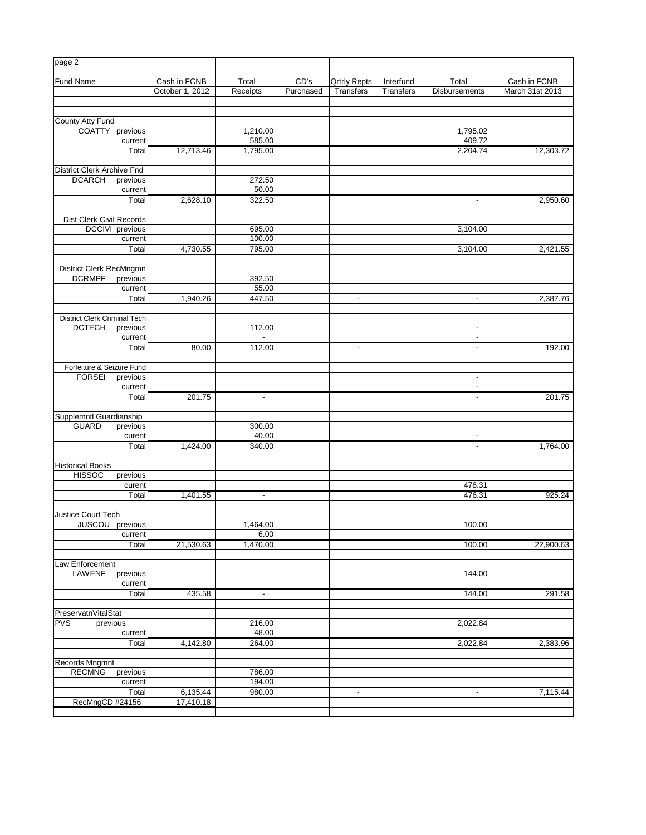| page 2                                          |                 |                 |           |                     |                  |                          |                 |
|-------------------------------------------------|-----------------|-----------------|-----------|---------------------|------------------|--------------------------|-----------------|
| <b>Fund Name</b>                                | Cash in FCNB    | Total           | CD's      | <b>Qrtrly Repts</b> | Interfund        | Total                    | Cash in FCNB    |
|                                                 | October 1, 2012 | Receipts        | Purchased | <b>Transfers</b>    | <b>Transfers</b> | <b>Disbursements</b>     | March 31st 2013 |
|                                                 |                 |                 |           |                     |                  |                          |                 |
| County Atty Fund                                |                 |                 |           |                     |                  |                          |                 |
| <b>COATTY</b><br>previous                       |                 | 1,210.00        |           |                     |                  | 1,795.02                 |                 |
| current                                         |                 | 585.00          |           |                     |                  | 409.72                   |                 |
| Total                                           | 12,713.46       | 1,795.00        |           |                     |                  | 2,204.74                 | 12,303.72       |
|                                                 |                 |                 |           |                     |                  |                          |                 |
| <b>District Clerk Archive Fnd</b>               |                 |                 |           |                     |                  |                          |                 |
| <b>DCARCH</b><br>previous                       |                 | 272.50          |           |                     |                  |                          |                 |
| current                                         |                 | 50.00           |           |                     |                  |                          |                 |
| Total                                           | 2,628.10        | 322.50          |           |                     |                  | $\blacksquare$           | 2,950.60        |
|                                                 |                 |                 |           |                     |                  |                          |                 |
| Dist Clerk Civil Records                        |                 |                 |           |                     |                  |                          |                 |
| DCCIVI previous                                 |                 | 695.00          |           |                     |                  | 3,104.00                 |                 |
| current                                         |                 | 100.00          |           |                     |                  |                          |                 |
| Total                                           | 4,730.55        | 795.00          |           |                     |                  | 3,104.00                 | 2,421.55        |
|                                                 |                 |                 |           |                     |                  |                          |                 |
| <b>District Clerk RecMngmn</b>                  |                 |                 |           |                     |                  |                          |                 |
| <b>DCRMPF</b><br>previous                       |                 | 392.50          |           |                     |                  |                          |                 |
| current                                         |                 | 55.00           |           |                     |                  |                          |                 |
| Total                                           | 1,940.26        | 447.50          |           | $\blacksquare$      |                  | $\blacksquare$           | 2,387.76        |
|                                                 |                 |                 |           |                     |                  |                          |                 |
| <b>District Clerk Criminal Tech</b>             |                 |                 |           |                     |                  |                          |                 |
| <b>DCTECH</b><br>previous                       |                 | 112.00          |           |                     |                  | $\blacksquare$           |                 |
| current                                         |                 |                 |           |                     |                  | $\overline{\phantom{a}}$ |                 |
| Total                                           | 80.00           | 112.00          |           | $\sim$              |                  | $\sim$                   | 192.00          |
|                                                 |                 |                 |           |                     |                  |                          |                 |
| Forfeiture & Seizure Fund                       |                 |                 |           |                     |                  |                          |                 |
| <b>FORSEI</b><br>previous                       |                 |                 |           |                     |                  | $\blacksquare$           |                 |
| current                                         |                 |                 |           |                     |                  | $\blacksquare$           |                 |
| Total                                           | 201.75          | $\blacksquare$  |           |                     |                  | $\blacksquare$           | 201.75          |
|                                                 |                 |                 |           |                     |                  |                          |                 |
| Supplemntl Guardianship                         |                 |                 |           |                     |                  |                          |                 |
| <b>GUARD</b><br>previous<br>curent              |                 | 300.00<br>40.00 |           |                     |                  | $\blacksquare$           |                 |
| Total                                           | 1,424.00        | 340.00          |           |                     |                  |                          | 1,764.00        |
|                                                 |                 |                 |           |                     |                  | $\blacksquare$           |                 |
| <b>Historical Books</b>                         |                 |                 |           |                     |                  |                          |                 |
| <b>HISSOC</b><br>previous                       |                 |                 |           |                     |                  |                          |                 |
| curent                                          |                 |                 |           |                     |                  | 476.31                   |                 |
| Total                                           | 1,401.55        | $\blacksquare$  |           |                     |                  | 476.31                   | 925.24          |
|                                                 |                 |                 |           |                     |                  |                          |                 |
| <b>Justice Court Tech</b>                       |                 |                 |           |                     |                  |                          |                 |
| $\overline{\mathsf{previous}}$<br><b>JUSCOU</b> |                 | 1,464.00        |           |                     |                  | 100.00                   |                 |
| current                                         |                 | 6.00            |           |                     |                  |                          |                 |
| Total                                           | 21,530.63       | 1,470.00        |           |                     |                  | 100.00                   | 22,900.63       |
|                                                 |                 |                 |           |                     |                  |                          |                 |
| Law Enforcement                                 |                 |                 |           |                     |                  |                          |                 |
| <b>LAWENF</b><br>previous                       |                 |                 |           |                     |                  | 144.00                   |                 |
| current                                         |                 |                 |           |                     |                  |                          |                 |
| Total                                           | 435.58          | $\blacksquare$  |           |                     |                  | 144.00                   | 291.58          |
|                                                 |                 |                 |           |                     |                  |                          |                 |
| PreservatnVitalStat                             |                 |                 |           |                     |                  |                          |                 |
| <b>PVS</b><br>previous                          |                 | 216.00          |           |                     |                  | 2,022.84                 |                 |
| current                                         |                 | 48.00           |           |                     |                  |                          |                 |
| Total                                           | 4,142.80        | 264.00          |           |                     |                  | 2,022.84                 | 2,383.96        |
|                                                 |                 |                 |           |                     |                  |                          |                 |
| Records Mngmnt                                  |                 |                 |           |                     |                  |                          |                 |
| <b>RECMNG</b><br>previous                       |                 | 786.00          |           |                     |                  |                          |                 |
| current                                         |                 | 194.00          |           |                     |                  |                          |                 |
| Total                                           | 6,135.44        | 980.00          |           | ٠                   |                  | ٠                        | 7,115.44        |
| RecMngCD #24156                                 | 17,410.18       |                 |           |                     |                  |                          |                 |
|                                                 |                 |                 |           |                     |                  |                          |                 |